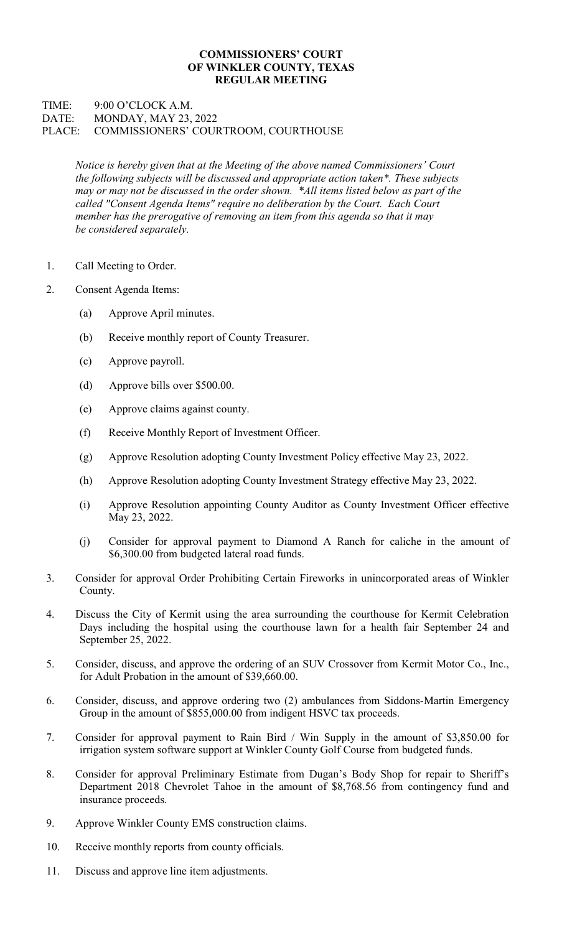## COMMISSIONERS' COURT OF WINKLER COUNTY, TEXAS REGULAR MEETING

## TIME: 9:00 O'CLOCK A.M. DATE: MONDAY, MAY 23, 2022 PLACE: COMMISSIONERS' COURTROOM, COURTHOUSE

Notice is hereby given that at the Meeting of the above named Commissioners' Court the following subjects will be discussed and appropriate action taken\*. These subjects may or may not be discussed in the order shown. \*All items listed below as part of the called "Consent Agenda Items" require no deliberation by the Court. Each Court member has the prerogative of removing an item from this agenda so that it may be considered separately.

- 1. Call Meeting to Order.
- 2. Consent Agenda Items:
	- (a) Approve April minutes.
	- (b) Receive monthly report of County Treasurer.
	- (c) Approve payroll.
	- (d) Approve bills over \$500.00.
	- (e) Approve claims against county.
	- (f) Receive Monthly Report of Investment Officer.
	- (g) Approve Resolution adopting County Investment Policy effective May 23, 2022.
	- (h) Approve Resolution adopting County Investment Strategy effective May 23, 2022.
	- (i) Approve Resolution appointing County Auditor as County Investment Officer effective May 23, 2022.
	- (j) Consider for approval payment to Diamond A Ranch for caliche in the amount of \$6,300.00 from budgeted lateral road funds.
- 3. Consider for approval Order Prohibiting Certain Fireworks in unincorporated areas of Winkler County.
- 4. Discuss the City of Kermit using the area surrounding the courthouse for Kermit Celebration Days including the hospital using the courthouse lawn for a health fair September 24 and September 25, 2022.
- 5. Consider, discuss, and approve the ordering of an SUV Crossover from Kermit Motor Co., Inc., for Adult Probation in the amount of \$39,660.00.
- 6. Consider, discuss, and approve ordering two (2) ambulances from Siddons-Martin Emergency Group in the amount of \$855,000.00 from indigent HSVC tax proceeds.
- 7. Consider for approval payment to Rain Bird / Win Supply in the amount of \$3,850.00 for irrigation system software support at Winkler County Golf Course from budgeted funds.
- 8. Consider for approval Preliminary Estimate from Dugan's Body Shop for repair to Sheriff's Department 2018 Chevrolet Tahoe in the amount of \$8,768.56 from contingency fund and insurance proceeds.
- 9. Approve Winkler County EMS construction claims.
- 10. Receive monthly reports from county officials.
- 11. Discuss and approve line item adjustments.